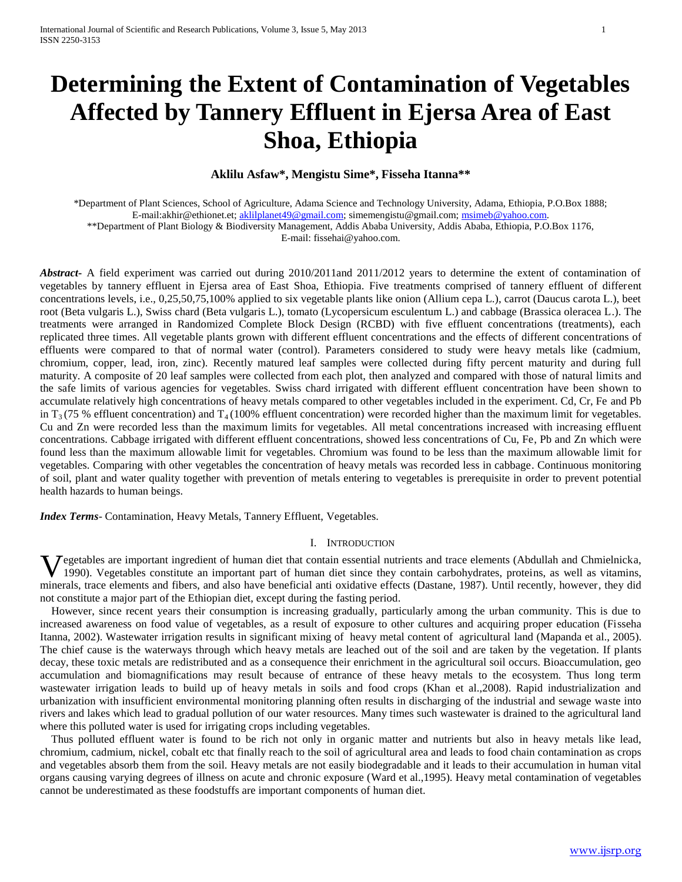# **Determining the Extent of Contamination of Vegetables Affected by Tannery Effluent in Ejersa Area of East Shoa, Ethiopia**

## **Aklilu Asfaw\*, Mengistu Sime\*, Fisseha Itanna\*\***

\*Department of Plant Sciences, School of Agriculture, Adama Science and Technology University, Adama, Ethiopia, P.O.Box 1888; E-mail:akhir@ethionet.et; [aklilplanet49@gmail.com;](mailto:aklilplanet49@gmail.com) simemengistu@gmail.com[; msimeb@yahoo.com.](mailto:msimeb@yahoo.com) \*\*Department of Plant Biology & Biodiversity Management, Addis Ababa University, Addis Ababa, Ethiopia, P.O.Box 1176,

E-mail: fissehai@yahoo.com.

*Abstract***-** A field experiment was carried out during 2010/2011and 2011/2012 years to determine the extent of contamination of vegetables by tannery effluent in Ejersa area of East Shoa, Ethiopia. Five treatments comprised of tannery effluent of different concentrations levels, i.e., 0,25,50,75,100% applied to six vegetable plants like onion (Allium cepa L.), carrot (Daucus carota L.), beet root (Beta vulgaris L.), Swiss chard (Beta vulgaris L.), tomato (Lycopersicum esculentum L.) and cabbage (Brassica oleracea L.). The treatments were arranged in Randomized Complete Block Design (RCBD) with five effluent concentrations (treatments), each replicated three times. All vegetable plants grown with different effluent concentrations and the effects of different concentrations of effluents were compared to that of normal water (control). Parameters considered to study were heavy metals like (cadmium, chromium, copper, lead, iron, zinc). Recently matured leaf samples were collected during fifty percent maturity and during full maturity. A composite of 20 leaf samples were collected from each plot, then analyzed and compared with those of natural limits and the safe limits of various agencies for vegetables. Swiss chard irrigated with different effluent concentration have been shown to accumulate relatively high concentrations of heavy metals compared to other vegetables included in the experiment. Cd, Cr, Fe and Pb in  $T_3$  (75 % effluent concentration) and  $T_4$  (100% effluent concentration) were recorded higher than the maximum limit for vegetables. Cu and Zn were recorded less than the maximum limits for vegetables. All metal concentrations increased with increasing effluent concentrations. Cabbage irrigated with different effluent concentrations, showed less concentrations of Cu, Fe, Pb and Zn which were found less than the maximum allowable limit for vegetables. Chromium was found to be less than the maximum allowable limit for vegetables. Comparing with other vegetables the concentration of heavy metals was recorded less in cabbage. Continuous monitoring of soil, plant and water quality together with prevention of metals entering to vegetables is prerequisite in order to prevent potential health hazards to human beings.

*Index Terms*- Contamination, Heavy Metals, Tannery Effluent, Vegetables.

## I. INTRODUCTION

Vegetables are important ingredient of human diet that contain essential nutrients and trace elements (Abdullah and Chmielnicka, 1990). Vegetables constitute an important part of human diet since they contain carbohydrates 1990). Vegetables constitute an important part of human diet since they contain carbohydrates, proteins, as well as vitamins, minerals, trace elements and fibers, and also have beneficial anti oxidative effects (Dastane, 1987). Until recently, however, they did not constitute a major part of the Ethiopian diet, except during the fasting period.

 However, since recent years their consumption is increasing gradually, particularly among the urban community. This is due to increased awareness on food value of vegetables, as a result of exposure to other cultures and acquiring proper education (Fisseha Itanna, 2002). Wastewater irrigation results in significant mixing of heavy metal content of agricultural land [\(Mapanda et al., 2005\)](file:///C:/Documents%20and%20Settings/Ake/Desktop/Very%20Important%20Douments/A%20Comparative%20Analysis%20of%20Trace%20Metals%20in%20Vegetables.htm%2318311_ja). The chief cause is the waterways through which heavy metals are leached out of the soil and are taken by the vegetation. If plants decay, these toxic metals are redistributed and as a consequence their enrichment in the agricultural soil occurs. Bioaccumulation, geo accumulation and biomagnifications may result because of entrance of these heavy metals to the ecosystem. Thus long term wastewater irrigation leads to build up of heavy metals in soils and food crops (Khan et al.,2008). Rapid industrialization and urbanization with insufficient environmental monitoring planning often results in discharging of the industrial and sewage waste into rivers and lakes which lead to gradual pollution of our water resources. Many times such wastewater is drained to the agricultural land where this polluted water is used for irrigating crops including vegetables.

 Thus polluted effluent water is found to be rich not only in organic matter and nutrients but also in heavy metals like lead, chromium, cadmium, nickel, cobalt etc that finally reach to the soil of agricultural area and leads to food chain contamination as crops and vegetables absorb them from the soil. Heavy metals are not easily biodegradable and it leads to their accumulation in human vital organs causing varying degrees of illness on acute and chronic exposure [\(Ward et al.,1995\)](file:///C:/Documents%20and%20Settings/Ake/Desktop/Very%20Important%20Douments/A%20Comparative%20Analysis%20of%20Trace%20Metals%20in%20Vegetables.htm%2362397_b). Heavy metal contamination of vegetables cannot be underestimated as these foodstuffs are important components of human diet.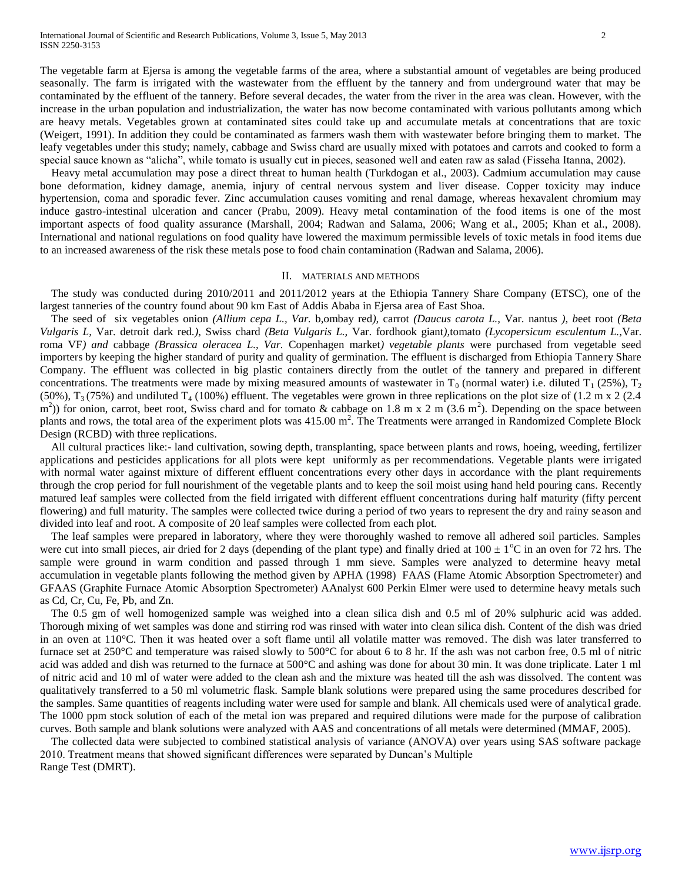The vegetable farm at Ejersa is among the vegetable farms of the area, where a substantial amount of vegetables are being produced seasonally. The farm is irrigated with the wastewater from the effluent by the tannery and from underground water that may be contaminated by the effluent of the tannery. Before several decades, the water from the river in the area was clean. However, with the increase in the urban population and industrialization, the water has now become contaminated with various pollutants among which are heavy metals. Vegetables grown at contaminated sites could take up and accumulate metals at concentrations that are toxic (Weigert, 1991). In addition they could be contaminated as farmers wash them with wastewater before bringing them to market. The leafy vegetables under this study; namely, cabbage and Swiss chard are usually mixed with potatoes and carrots and cooked to form a special sauce known as "alicha", while tomato is usually cut in pieces, seasoned well and eaten raw as salad (Fisseha Itanna, 2002).

 Heavy metal accumulation may pose a direct threat to human health (Turkdogan et al., 2003). Cadmium accumulation may cause bone deformation, kidney damage, anemia, injury of central nervous system and liver disease. Copper toxicity may induce hypertension, coma and sporadic fever. Zinc accumulation causes vomiting and renal damage, whereas hexavalent chromium may induce gastro-intestinal ulceration and cancer (Prabu, 2009). Heavy metal contamination of the food items is one of the most important aspects of food quality assurance (Marshall, 2004; Radwan and Salama, 2006; Wang et al., 2005; Khan et al., 2008). International and national regulations on food quality have lowered the maximum permissible levels of toxic metals in food items due to an increased awareness of the risk these metals pose to food chain contamination (Radwan and Salama, 2006).

#### II. MATERIALS AND METHODS

 The study was conducted during 2010/2011 and 2011/2012 years at the Ethiopia Tannery Share Company (ETSC), one of the largest tanneries of the country found about 90 km East of Addis Ababa in Ejersa area of East Shoa.

 The seed of six vegetables onion *(Allium cepa L., Var.* b,ombay red*),* carrot *(Daucus carota L.,* Var. nantus *), b*eet root *(Beta Vulgaris L,* Var. detroit dark red*.),* Swiss chard *(Beta Vulgaris L.,* Var. fordhook giant*),*tomato *(Lycopersicum esculentum L.,*Var. roma VF*) and* cabbage *(Brassica oleracea L., Var.* Copenhagen market*) vegetable plants* were purchased from vegetable seed importers by keeping the higher standard of purity and quality of germination. The effluent is discharged from Ethiopia Tannery Share Company. The effluent was collected in big plastic containers directly from the outlet of the tannery and prepared in different concentrations. The treatments were made by mixing measured amounts of wastewater in  $T_0$  (normal water) i.e. diluted  $T_1$  (25%),  $T_2$ (50%),  $T_3$  (75%) and undiluted  $T_4$  (100%) effluent. The vegetables were grown in three replications on the plot size of (1.2 m x 2 (2.4)  $(m<sup>2</sup>)$ ) for onion, carrot, beet root, Swiss chard and for tomato & cabbage on 1.8 m x 2 m (3.6 m<sup>2</sup>). Depending on the space between plants and rows, the total area of the experiment plots was  $415.00 \text{ m}^2$ . The Treatments were arranged in Randomized Complete Block Design (RCBD) with three replications.

 All cultural practices like:- land cultivation, sowing depth, transplanting, space between plants and rows, hoeing, weeding, fertilizer applications and pesticides applications for all plots were kept uniformly as per recommendations. Vegetable plants were irrigated with normal water against mixture of different effluent concentrations every other days in accordance with the plant requirements through the crop period for full nourishment of the vegetable plants and to keep the soil moist using hand held pouring cans. Recently matured leaf samples were collected from the field irrigated with different effluent concentrations during half maturity (fifty percent flowering) and full maturity. The samples were collected twice during a period of two years to represent the dry and rainy season and divided into leaf and root. A composite of 20 leaf samples were collected from each plot.

 The leaf samples were prepared in laboratory, where they were thoroughly washed to remove all adhered soil particles. Samples were cut into small pieces, air dried for 2 days (depending of the plant type) and finally dried at  $100 \pm 1^{\circ}\text{C}$  in an oven for 72 hrs. The sample were ground in warm condition and passed through 1 mm sieve. Samples were analyzed to determine heavy metal accumulation in vegetable plants following the method given by APHA (1998) FAAS (Flame Atomic Absorption Spectrometer) and GFAAS (Graphite Furnace Atomic Absorption Spectrometer) AAnalyst 600 Perkin Elmer were used to determine heavy metals such as Cd, Cr, Cu, Fe, Pb, and Zn.

 The 0.5 gm of well homogenized sample was weighed into a clean silica dish and 0.5 ml of 20% sulphuric acid was added. Thorough mixing of wet samples was done and stirring rod was rinsed with water into clean silica dish. Content of the dish was dried in an oven at 110°C. Then it was heated over a soft flame until all volatile matter was removed. The dish was later transferred to furnace set at 250°C and temperature was raised slowly to 500°C for about 6 to 8 hr. If the ash was not carbon free, 0.5 ml of nitric acid was added and dish was returned to the furnace at 500°C and ashing was done for about 30 min. It was done triplicate. Later 1 ml of nitric acid and 10 ml of water were added to the clean ash and the mixture was heated till the ash was dissolved. The content was qualitatively transferred to a 50 ml volumetric flask. Sample blank solutions were prepared using the same procedures described for the samples. Same quantities of reagents including water were used for sample and blank. All chemicals used were of analytical grade. The 1000 ppm stock solution of each of the metal ion was prepared and required dilutions were made for the purpose of calibration curves. Both sample and blank solutions were analyzed with AAS and concentrations of all metals were determined (MMAF, 2005).

 The collected data were subjected to combined statistical analysis of variance (ANOVA) over years using SAS software package 2010. Treatment means that showed significant differences were separated by Duncan's Multiple Range Test (DMRT).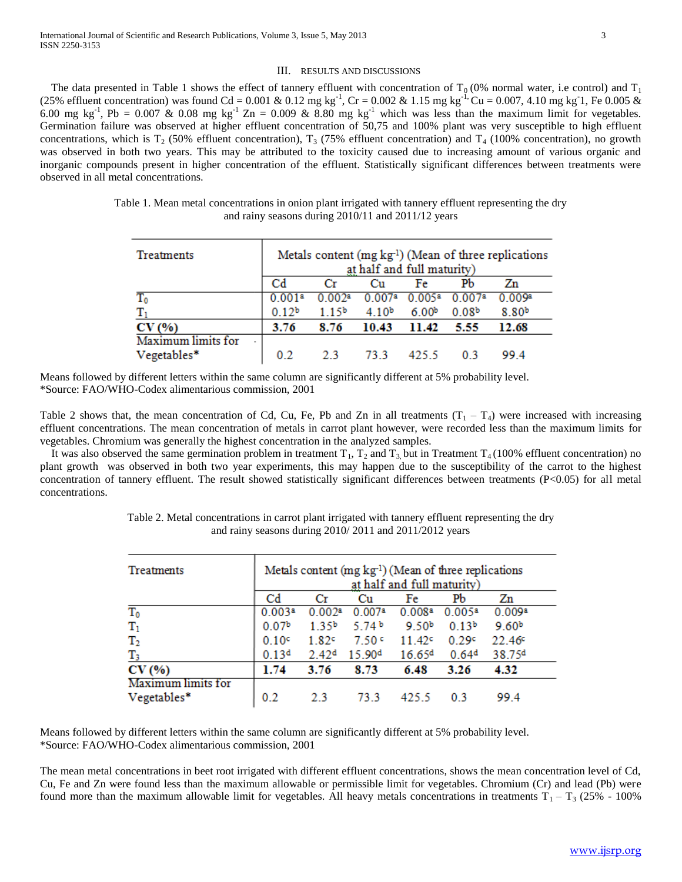#### III. RESULTS AND DISCUSSIONS

The data presented in Table 1 shows the effect of tannery effluent with concentration of  $T_0$  (0% normal water, i.e control) and  $T_1$ (25% effluent concentration) was found Cd = 0.001 & 0.12 mg kg<sup>-1</sup>, Cr = 0.002 & 1.15 mg kg<sup>-1</sup>, Cu = 0.007, 4.10 mg kg<sup>-1</sup>, Fe 0.005 & 6.00 mg kg<sup>-1</sup>, Pb = 0.007 & 0.08 mg kg<sup>-1</sup> Zn = 0.009 & 8.80 mg kg<sup>-1</sup> which was less than the maximum limit for vegetables. Germination failure was observed at higher effluent concentration of 50,75 and 100% plant was very susceptible to high effluent concentrations, which is T<sub>2</sub> (50% effluent concentration), T<sub>3</sub> (75% effluent concentration) and T<sub>4</sub> (100% concentration), no growth was observed in both two years. This may be attributed to the toxicity caused due to increasing amount of various organic and inorganic compounds present in higher concentration of the effluent. Statistically significant differences between treatments were observed in all metal concentrations.

| Table 1. Mean metal concentrations in onion plant irrigated with tannery effluent representing the dry |  |
|--------------------------------------------------------------------------------------------------------|--|
| and rainy seasons during 2010/11 and 2011/12 years                                                     |  |

| Treatments                 | Metals content (mg kg <sup>-1</sup> ) (Mean of three replications<br>at half and full maturity) |                   |                    |                   |                   |                   |  |
|----------------------------|-------------------------------------------------------------------------------------------------|-------------------|--------------------|-------------------|-------------------|-------------------|--|
|                            | Cd                                                                                              |                   | Cш                 | Fe                | Pb                | Zn                |  |
| $T_0$                      | 0.001ª                                                                                          | 002a              | 0.007 <sup>a</sup> | 0.005a            | 0.007ª            | 0.009a            |  |
|                            | 0.12 <sup>b</sup>                                                                               | 1.15 <sup>b</sup> | 4.10 <sup>b</sup>  | 6.00 <sup>b</sup> | 0.08 <sup>b</sup> | 8.80 <sup>b</sup> |  |
| CV(%)                      | 3.76                                                                                            | 8.76              | 10.43              | 11.42             | 5.55              | 12.68             |  |
| Maximum limits for<br>$\,$ |                                                                                                 |                   |                    |                   |                   |                   |  |
| Vegetables*                | 02                                                                                              | つく                | 73 3               | 425 S             | 03                | 99 4              |  |

Means followed by different letters within the same column are significantly different at 5% probability level. \*Source: FAO/WHO-Codex alimentarious commission, 2001

Table 2 shows that, the mean concentration of Cd, Cu, Fe, Pb and Zn in all treatments  $(T_1 - T_4)$  were increased with increasing effluent concentrations. The mean concentration of metals in carrot plant however, were recorded less than the maximum limits for vegetables. Chromium was generally the highest concentration in the analyzed samples.

It was also observed the same germination problem in treatment  $T_1$ ,  $T_2$  and  $T_3$  but in Treatment  $T_4$  (100% effluent concentration) no plant growth was observed in both two year experiments, this may happen due to the susceptibility of the carrot to the highest concentration of tannery effluent. The result showed statistically significant differences between treatments (P<0.05) for all metal concentrations.

| Treatments                        | Metals content $(mg kg-1)$ (Mean of three replications<br>at half and full maturity) |                   |                    |                    |                   |                    |  |
|-----------------------------------|--------------------------------------------------------------------------------------|-------------------|--------------------|--------------------|-------------------|--------------------|--|
|                                   | Cd                                                                                   | Сr                | Сu                 | Fe                 | Pb                | Zn                 |  |
| $T_0$                             | 0.003a                                                                               | 0.002a            | 0.007 <sup>a</sup> | 0.008 <sup>a</sup> | 0.005a            | 0.009 <sup>a</sup> |  |
| $T_1$                             | 0.07 <sup>b</sup>                                                                    | 1.35 <sup>b</sup> | 5.74 $b$           | 9.50 <sup>b</sup>  | 0.13 <sup>b</sup> | 9.60 <sup>b</sup>  |  |
| $\mathrm{T}_2$                    | 0.10c                                                                                | 1.82c             | 7.50c              | 11.42c             | 0.29c             | 22.46c             |  |
| $\rm T_3$                         | 0.13 <sup>d</sup>                                                                    | 2.42 <sup>d</sup> | 15.90 <sup>d</sup> | 16.65 <sup>d</sup> | 0.64 <sup>d</sup> | 38.75 <sup>d</sup> |  |
| CV(%)                             | 1.74                                                                                 | 3.76              | 8.73               | 6.48               | 3.26              | 4.32               |  |
| Maximum limits for<br>Vegetables* | 0.2                                                                                  | 23                | 73.3               | 425.5              | 03                | 99.4               |  |

Table 2. Metal concentrations in carrot plant irrigated with tannery effluent representing the dry and rainy seasons during 2010/ 2011 and 2011/2012 years

Means followed by different letters within the same column are significantly different at 5% probability level. \*Source: FAO/WHO-Codex alimentarious commission, 2001

The mean metal concentrations in beet root irrigated with different effluent concentrations, shows the mean concentration level of Cd, Cu, Fe and Zn were found less than the maximum allowable or permissible limit for vegetables. Chromium (Cr) and lead (Pb) were found more than the maximum allowable limit for vegetables. All heavy metals concentrations in treatments  $T_1 - T_3$  (25% - 100%)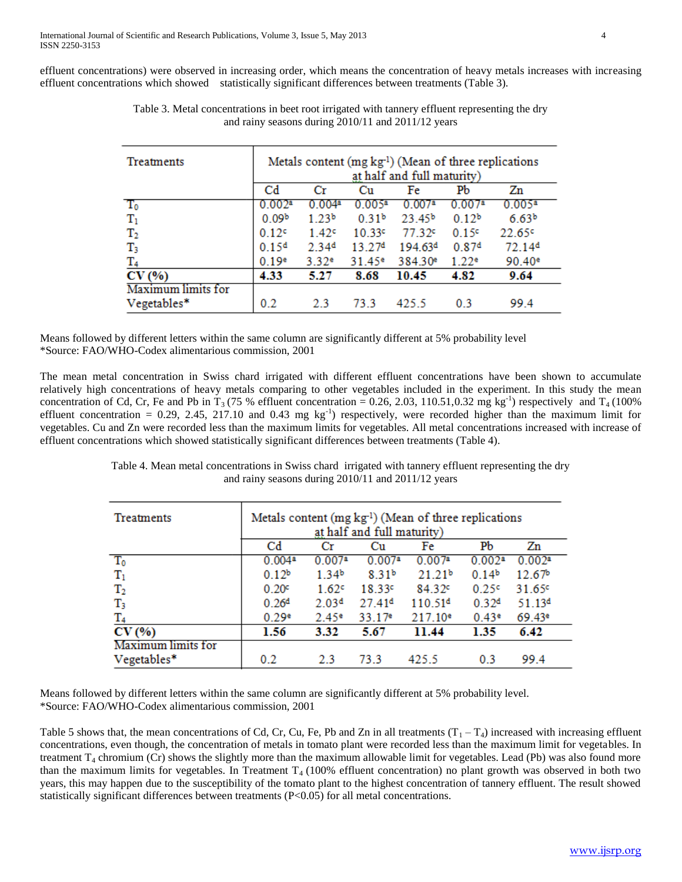effluent concentrations) were observed in increasing order, which means the concentration of heavy metals increases with increasing effluent concentrations which showed statistically significant differences between treatments (Table 3).

| Treatments         | Metals content (mg kg <sup>1</sup> ) (Mean of three replications<br>at half and full maturity) |                   |                     |                     |                    |                      |  |
|--------------------|------------------------------------------------------------------------------------------------|-------------------|---------------------|---------------------|--------------------|----------------------|--|
|                    | Cd                                                                                             | Сr                | Сu                  | Fe                  | PЪ                 | Zn                   |  |
| $T_0$              | 0.002a                                                                                         | 0.004ª            | $0.005^{\rm a}$     | 0.007 <sup>a</sup>  | 0.007 <sup>8</sup> | $0.005$ <sup>a</sup> |  |
| $\mathbf{T}_1$     | 0.09 <sup>b</sup>                                                                              | 1.23 <sup>b</sup> | 0.31 <sup>b</sup>   | 23.45 <sup>b</sup>  | 0.12 <sup>b</sup>  | 6.63 <sup>b</sup>    |  |
| $\rm T_2$          | 0.12c                                                                                          | 1.42 <sup>c</sup> | 10.33c              | 77.32°              | 0.15c              | 22.65c               |  |
| $\rm T_3$          | 0.15 <sup>d</sup>                                                                              | 2.34 <sup>d</sup> | 13 2.7 <sup>d</sup> | 194.63 <sup>d</sup> | 0.87 <sup>d</sup>  | 72.14 <sup>d</sup>   |  |
| $\rm T_4$          | 0.19e                                                                                          | 3.32 <sup>e</sup> | 31.45 <sup>e</sup>  | 384.30 <sup>e</sup> | 1.22e              | $90.40$ <sup>e</sup> |  |
| CV(%               | 4.33                                                                                           | 5.27              | 8.68                | 10.45               | 4.82               | 9.64                 |  |
| Maximum limits for |                                                                                                |                   |                     |                     |                    |                      |  |
| Vegetables*        | 0.2                                                                                            | 23                | 73.3                | 425.5               | 0.3                | 99.4                 |  |

Table 3. Metal concentrations in beet root irrigated with tannery effluent representing the dry and rainy seasons during 2010/11 and 2011/12 years

Means followed by different letters within the same column are significantly different at 5% probability level \*Source: FAO/WHO-Codex alimentarious commission, 2001

The mean metal concentration in Swiss chard irrigated with different effluent concentrations have been shown to accumulate relatively high concentrations of heavy metals comparing to other vegetables included in the experiment. In this study the mean concentration of Cd, Cr, Fe and Pb in T<sub>3</sub> (75 % effluent concentration = 0.26, 2.03, 110.51,0.32 mg kg<sup>-1</sup>) respectively and T<sub>4</sub> (100%) effluent concentration = 0.29, 2.45, 217.10 and 0.43 mg  $kg^{-1}$ ) respectively, were recorded higher than the maximum limit for vegetables. Cu and Zn were recorded less than the maximum limits for vegetables. All metal concentrations increased with increase of effluent concentrations which showed statistically significant differences between treatments (Table 4).

and rainy seasons during 2010/11 and 2011/12 years

Table 4. Mean metal concentrations in Swiss chard irrigated with tannery effluent representing the dry

| Metals content (mg kg <sup>-1</sup> ) (Mean of three replications |                            |                    |                     |                   |                    |  |  |  |  |
|-------------------------------------------------------------------|----------------------------|--------------------|---------------------|-------------------|--------------------|--|--|--|--|
|                                                                   | at half and full maturity) |                    |                     |                   |                    |  |  |  |  |
| $_{\rm Cd}$                                                       | Pb<br>Fe<br>Zn<br>Cu<br>Сr |                    |                     |                   |                    |  |  |  |  |
| 0.004a                                                            | $0.007$ <sup>a</sup>       | 0.007a             | 0.007a              | 0.002a            | 0.002a             |  |  |  |  |
| 0.12 <sup>b</sup>                                                 | 1.34 <sup>b</sup>          | 8.31 <sup>b</sup>  | 21.21 <sup>b</sup>  | 0.14 <sup>b</sup> | 12.67 <sup>b</sup> |  |  |  |  |
| 0.20c                                                             | 1.62c                      | 18.33 <sup>c</sup> | 84.329              | 0.25c             | 31.65 <sup>c</sup> |  |  |  |  |
| 0.26 <sup>d</sup>                                                 | 2.03 <sup>d</sup>          | 27.41 <sup>d</sup> | 110.51 <sup>d</sup> | 0.32 <sup>d</sup> | 51.13 <sup>d</sup> |  |  |  |  |
| 0.29e                                                             | 2.45 <sup>e</sup>          | 33.17e             | $217.10^e$          | 0.43e             | 69.43 <sup>e</sup> |  |  |  |  |
| 1.56                                                              | 3.32                       | 5.67               | 11.44               | 1.35              | 6.42               |  |  |  |  |
|                                                                   |                            |                    |                     |                   |                    |  |  |  |  |
| 0.2                                                               | 2.3                        | 73.3               | 425.5               | 0.3               | 99.4               |  |  |  |  |
|                                                                   |                            |                    |                     |                   |                    |  |  |  |  |

Means followed by different letters within the same column are significantly different at 5% probability level. \*Source: FAO/WHO-Codex alimentarious commission, 2001

Table 5 shows that, the mean concentrations of Cd, Cr, Cu, Fe, Pb and Zn in all treatments  $(T_1 - T_4)$  increased with increasing effluent concentrations, even though, the concentration of metals in tomato plant were recorded less than the maximum limit for vegetables. In treatment  $T_4$  chromium (Cr) shows the slightly more than the maximum allowable limit for vegetables. Lead (Pb) was also found more than the maximum limits for vegetables. In Treatment  $T<sub>4</sub>$  (100% effluent concentration) no plant growth was observed in both two years, this may happen due to the susceptibility of the tomato plant to the highest concentration of tannery effluent. The result showed statistically significant differences between treatments (P<0.05) for all metal concentrations.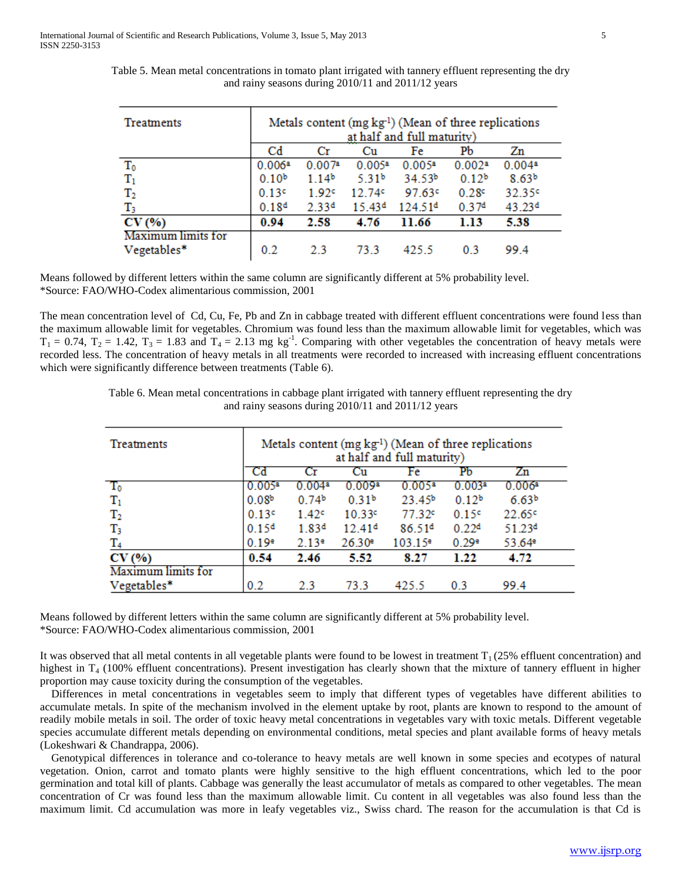| Treatments                        | Metals content (mg kg <sup>-1</sup> ) (Mean of three replications<br>at half and full maturity) |                   |                    |                     |                   |                      |
|-----------------------------------|-------------------------------------------------------------------------------------------------|-------------------|--------------------|---------------------|-------------------|----------------------|
|                                   | Cd                                                                                              | Сr                | Сu                 | Fe                  | Pb                | Zn                   |
| $\mathbf{T_0}$                    | 0.006a                                                                                          | 0.007a            | $0.005^a$          | 0.005a              | 0.002a            | $0.004$ <sup>a</sup> |
| $T_1$                             | 0.10 <sup>b</sup>                                                                               | 1.14 <sup>b</sup> | 5.31 <sup>b</sup>  | 34.53 <sup>b</sup>  | 0.12 <sup>b</sup> | 8.63 <sup>b</sup>    |
| $\mathrm{T}_2$                    | 0.13c                                                                                           | 1.92c             | 12.749             | 97.63c              | 0.28c             | 32.35 <sup>c</sup>   |
| $\rm T_3$                         | 0.18 <sup>d</sup>                                                                               | 2.33 <sup>d</sup> | 15.43 <sup>d</sup> | 124.51 <sup>d</sup> | 0.37 <sup>d</sup> | 43.23 <sup>d</sup>   |
| CV(%)                             | 0.94                                                                                            | 2.58              | 4.76               | 11.66               | 1.13              | 5.38                 |
| Maximum limits for<br>Vegetables* | 0.2                                                                                             | 23                | 73.3               | 425.5               | 03                | 99.4                 |

Table 5. Mean metal concentrations in tomato plant irrigated with tannery effluent representing the dry and rainy seasons during 2010/11 and 2011/12 years

Means followed by different letters within the same column are significantly different at 5% probability level. \*Source: FAO/WHO-Codex alimentarious commission, 2001

The mean concentration level of Cd, Cu, Fe, Pb and Zn in cabbage treated with different effluent concentrations were found less than the maximum allowable limit for vegetables. Chromium was found less than the maximum allowable limit for vegetables, which was  $T_1 = 0.74$ ,  $T_2 = 1.42$ ,  $T_3 = 1.83$  and  $T_4 = 2.13$  mg kg<sup>-1</sup>. Comparing with other vegetables the concentration of heavy metals were recorded less. The concentration of heavy metals in all treatments were recorded to increased with increasing effluent concentrations which were significantly difference between treatments (Table 6).

> Table 6. Mean metal concentrations in cabbage plant irrigated with tannery effluent representing the dry and rainy seasons during 2010/11 and 2011/12 years

| <b>Treatments</b>  | Metals content (mg kg <sup>-1</sup> ) (Mean of three replications<br>at half and full maturity) |                            |                      |                      |                    |                    |  |  |  |  |
|--------------------|-------------------------------------------------------------------------------------------------|----------------------------|----------------------|----------------------|--------------------|--------------------|--|--|--|--|
|                    | Cd                                                                                              | PЬ<br>Fe<br>Zn<br>Cu<br>Сr |                      |                      |                    |                    |  |  |  |  |
| T0                 | 0.005 <sup>a</sup>                                                                              | $0.004^{\overline{a}}$     | 0.009 <sup>a</sup>   | $0.005$ <sup>a</sup> | 0.003 <sup>a</sup> | 0.006a             |  |  |  |  |
| $T_1$              | 0.08 <sup>b</sup>                                                                               | 0.74 <sup>b</sup>          | 0.31 <sup>b</sup>    | 23.45 <sup>b</sup>   | 0.12 <sup>b</sup>  | 6.63 <sup>b</sup>  |  |  |  |  |
| $\mathrm{T}_2$     | 0.13c                                                                                           | 1.42 <sup>c</sup>          | 10.33c               | 77.32c               | 0.15c              | 22.65c             |  |  |  |  |
| $\mathrm{T}_3$     | 0.15 <sup>d</sup>                                                                               | 1.83 <sup>d</sup>          | 12.41 <sup>d</sup>   | 86.51 <sup>d</sup>   | 0.22 <sup>d</sup>  | 51.23 <sup>d</sup> |  |  |  |  |
| T4                 | 0.19e                                                                                           | 2.13e                      | $26.30$ <sup>e</sup> | 103.15e              | 0.29e              | 53.64 <sup>e</sup> |  |  |  |  |
| CV(%               | 0.54                                                                                            | 2.46                       | 5.52                 | 8.27                 | 1.22               | 4.72               |  |  |  |  |
| Maximum limits for |                                                                                                 |                            |                      |                      |                    |                    |  |  |  |  |
| Vegetables*        | 0.2                                                                                             | 2.3                        | 73.3                 | 425.5                | 0.3                | 99.4               |  |  |  |  |

Means followed by different letters within the same column are significantly different at 5% probability level. \*Source: FAO/WHO-Codex alimentarious commission, 2001

It was observed that all metal contents in all vegetable plants were found to be lowest in treatment  $T_1$  (25% effluent concentration) and highest in  $T<sub>4</sub>$  (100% effluent concentrations). Present investigation has clearly shown that the mixture of tannery effluent in higher proportion may cause toxicity during the consumption of the vegetables.

 Differences in metal concentrations in vegetables seem to imply that different types of vegetables have different abilities to accumulate metals. In spite of the mechanism involved in the element uptake by root, plants are known to respond to the amount of readily mobile metals in soil. The order of toxic heavy metal concentrations in vegetables vary with toxic metals. Different vegetable species accumulate different metals depending on environmental conditions, metal species and plant available forms of heavy metals (Lokeshwari & Chandrappa, 2006).

 Genotypical differences in tolerance and co-tolerance to heavy metals are well known in some species and ecotypes of natural vegetation. Onion, carrot and tomato plants were highly sensitive to the high effluent concentrations, which led to the poor germination and total kill of plants. Cabbage was generally the least accumulator of metals as compared to other vegetables. The mean concentration of Cr was found less than the maximum allowable limit. Cu content in all vegetables was also found less than the maximum limit. Cd accumulation was more in leafy vegetables viz., Swiss chard. The reason for the accumulation is that Cd is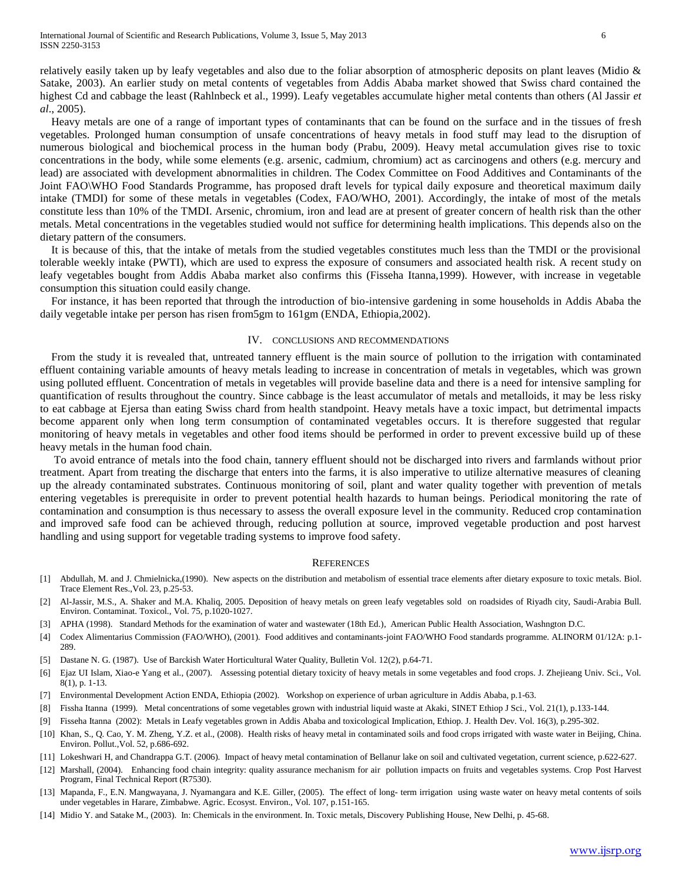relatively easily taken up by leafy vegetables and also due to the foliar absorption of atmospheric deposits on plant leaves (Midio & Satake, 2003). An earlier study on metal contents of vegetables from Addis Ababa market showed that Swiss chard contained the highest Cd and cabbage the least (Rahlnbeck et al., 1999). Leafy vegetables accumulate higher metal contents than others (Al Jassir *et al*., 2005).

 Heavy metals are one of a range of important types of contaminants that can be found on the surface and in the tissues of fresh vegetables. Prolonged human consumption of unsafe concentrations of heavy metals in food stuff may lead to the disruption of numerous biological and biochemical process in the human body (Prabu, 2009). Heavy metal accumulation gives rise to toxic concentrations in the body, while some elements (e.g. arsenic, cadmium, chromium) act as carcinogens and others (e.g. mercury and lead) are associated with development abnormalities in children. The Codex Committee on Food Additives and Contaminants of the Joint FAO\WHO Food Standards Programme, has proposed draft levels for typical daily exposure and theoretical maximum daily intake (TMDI) for some of these metals in vegetables (Codex, FAO/WHO, 2001). Accordingly, the intake of most of the metals constitute less than 10% of the TMDI. Arsenic, chromium, iron and lead are at present of greater concern of health risk than the other metals. Metal concentrations in the vegetables studied would not suffice for determining health implications. This depends also on the dietary pattern of the consumers.

 It is because of this, that the intake of metals from the studied vegetables constitutes much less than the TMDI or the provisional tolerable weekly intake (PWTI), which are used to express the exposure of consumers and associated health risk. A recent study on leafy vegetables bought from Addis Ababa market also confirms this (Fisseha Itanna,1999). However, with increase in vegetable consumption this situation could easily change.

 For instance, it has been reported that through the introduction of bio-intensive gardening in some households in Addis Ababa the daily vegetable intake per person has risen from5gm to 161gm (ENDA, Ethiopia,2002).

#### IV. CONCLUSIONS AND RECOMMENDATIONS

 From the study it is revealed that, untreated tannery effluent is the main source of pollution to the irrigation with contaminated effluent containing variable amounts of heavy metals leading to increase in concentration of metals in vegetables, which was grown using polluted effluent. Concentration of metals in vegetables will provide baseline data and there is a need for intensive sampling for quantification of results throughout the country. Since cabbage is the least accumulator of metals and metalloids, it may be less risky to eat cabbage at Ejersa than eating Swiss chard from health standpoint. Heavy metals have a toxic impact, but detrimental impacts become apparent only when long term consumption of contaminated vegetables occurs. It is therefore suggested that regular monitoring of heavy metals in vegetables and other food items should be performed in order to prevent excessive build up of these heavy metals in the human food chain.

 To avoid entrance of metals into the food chain, tannery effluent should not be discharged into rivers and farmlands without prior treatment. Apart from treating the discharge that enters into the farms, it is also imperative to utilize alternative measures of cleaning up the already contaminated substrates. Continuous monitoring of soil, plant and water quality together with prevention of metals entering vegetables is prerequisite in order to prevent potential health hazards to human beings. Periodical monitoring the rate of contamination and consumption is thus necessary to assess the overall exposure level in the community. Reduced crop contamination and improved safe food can be achieved through, reducing pollution at source, improved vegetable production and post harvest handling and using support for vegetable trading systems to improve food safety.

### **REFERENCES**

- [1] Abdullah, M. and J. Chmielnicka,(1990). New aspects on the distribution and metabolism of essential trace elements after dietary exposure to toxic metals. Biol. Trace Element Res.,Vol. 23, p.25-53.
- [2] Al-Jassir, M.S., A. Shaker and M.A. Khaliq, 2005. Deposition of heavy metals on green leafy vegetables sold on roadsides of Riyadh city, Saudi-Arabia Bull. Environ. Contaminat. Toxicol., Vol. 75, p.1020-1027.
- [3] APHA (1998). Standard Methods for the examination of water and wastewater (18th Ed.), American Public Health Association, Washngton D.C.
- [4] Codex Alimentarius Commission (FAO/WHO), (2001). Food additives and contaminants-joint FAO/WHO Food standards programme. ALINORM 01/12A: p.1- 289.
- [5] Dastane N. G. (1987). Use of Barckish Water Horticultural Water Quality, Bulletin Vol. 12(2), p.64-71.
- [6] Ejaz UI Islam, Xiao-e Yang et al., (2007). Assessing potential dietary toxicity of heavy metals in some vegetables and food crops. J. Zhejieang Univ. Sci., Vol. 8(1), p. 1-13.
- [7] Environmental Development Action ENDA, Ethiopia (2002). Workshop on experience of urban agriculture in Addis Ababa, p.1-63.
- [8] Fissha Itanna (1999). Metal concentrations of some vegetables grown with industrial liquid waste at Akaki, SINET Ethiop J Sci., Vol. 21(1), p.133-144.
- [9] Fisseha Itanna (2002): Metals in Leafy vegetables grown in Addis Ababa and toxicological Implication, Ethiop. J. Health Dev. Vol. 16(3), p.295-302.
- [10] Khan, S., Q. Cao, Y. M. Zheng, Y.Z. et al., (2008). Health risks of heavy metal in contaminated soils and food crops irrigated with waste water in Beijing, China. Environ. Pollut.,Vol. 52, p.686-692.
- [11] Lokeshwari H, and Chandrappa G.T. (2006). Impact of heavy metal contamination of Bellanur lake on soil and cultivated vegetation, current science, p.622-627.
- [12] Marshall, (2004). Enhancing food chain integrity: quality assurance mechanism for air pollution impacts on fruits and vegetables systems. Crop Post Harvest Program, Final Technical Report (R7530).
- [13] Mapanda, F., E.N. Mangwayana, J. Nyamangara and K.E. Giller, (2005). The effect of long- term irrigation using waste water on heavy metal contents of soils under vegetables in Harare, Zimbabwe. Agric. Ecosyst. Environ., Vol. 107, p.151-165.
- [14] Midio Y. and Satake M., (2003). In: Chemicals in the environment. In. Toxic metals, Discovery Publishing House, New Delhi, p. 45-68.